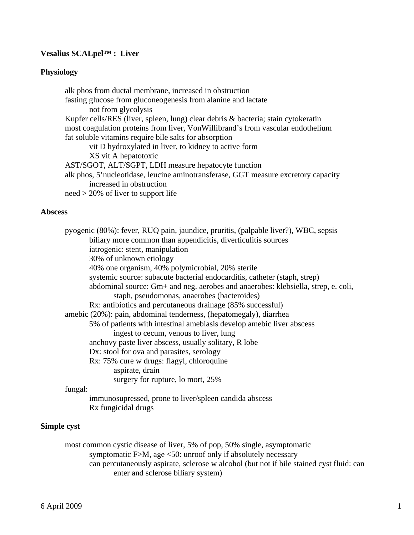## **Vesalius SCALpel™ : Liver**

### **Physiology**

 alk phos from ductal membrane, increased in obstruction fasting glucose from gluconeogenesis from alanine and lactate not from glycolysis Kupfer cells/RES (liver, spleen, lung) clear debris & bacteria; stain cytokeratin most coagulation proteins from liver, VonWillibrand's from vascular endothelium fat soluble vitamins require bile salts for absorption vit D hydroxylated in liver, to kidney to active form XS vit A hepatotoxic AST/SGOT, ALT/SGPT, LDH measure hepatocyte function alk phos, 5'nucleotidase, leucine aminotransferase, GGT measure excretory capacity increased in obstruction need > 20% of liver to support life

#### **Abscess**

| pyogenic (80%): fever, RUQ pain, jaundice, pruritis, (palpable liver?), WBC, sepsis |
|-------------------------------------------------------------------------------------|
| biliary more common than appendicitis, diverticulitis sources                       |
| iatrogenic: stent, manipulation                                                     |
| 30% of unknown etiology                                                             |
| 40% one organism, 40% polymicrobial, 20% sterile                                    |
| systemic source: subacute bacterial endocarditis, catheter (staph, strep)           |
| abdominal source: Gm+ and neg. aerobes and anaerobes: klebsiella, strep, e. coli,   |
| staph, pseudomonas, anaerobes (bacteroides)                                         |
| Rx: antibiotics and percutaneous drainage (85% successful)                          |
| amebic (20%): pain, abdominal tenderness, (hepatomegaly), diarrhea                  |
| 5% of patients with intestinal amebiasis develop amebic liver abscess               |
| ingest to cecum, venous to liver, lung                                              |
| anchovy paste liver abscess, usually solitary, R lobe                               |
| Dx: stool for ova and parasites, serology                                           |
| Rx: 75% cure w drugs: flagyl, chloroquine                                           |
| aspirate, drain                                                                     |
| surgery for rupture, lo mort, 25%                                                   |
| fungal:                                                                             |
| immunosupressed, prone to liver/spleen candida abscess                              |
| Rx fungicidal drugs                                                                 |

## **Simple cyst**

 most common cystic disease of liver, 5% of pop, 50% single, asymptomatic symptomatic F>M, age <50: unroof only if absolutely necessary can percutaneously aspirate, sclerose w alcohol (but not if bile stained cyst fluid: can enter and sclerose biliary system)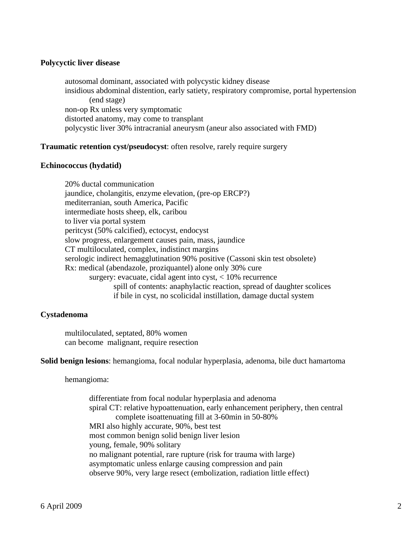## **Polycyctic liver disease**

 autosomal dominant, associated with polycystic kidney disease insidious abdominal distention, early satiety, respiratory compromise, portal hypertension (end stage) non-op Rx unless very symptomatic distorted anatomy, may come to transplant polycystic liver 30% intracranial aneurysm (aneur also associated with FMD)

## **Traumatic retention cyst/pseudocyst**: often resolve, rarely require surgery

## **Echinococcus (hydatid)**

 20% ductal communication jaundice, cholangitis, enzyme elevation, (pre-op ERCP?) mediterranian, south America, Pacific intermediate hosts sheep, elk, caribou to liver via portal system peritcyst (50% calcified), ectocyst, endocyst slow progress, enlargement causes pain, mass, jaundice CT multiloculated, complex, indistinct margins serologic indirect hemagglutination 90% positive (Cassoni skin test obsolete) Rx: medical (abendazole, proziquantel) alone only 30% cure surgery: evacuate, cidal agent into cyst, < 10% recurrence spill of contents: anaphylactic reaction, spread of daughter scolices if bile in cyst, no scolicidal instillation, damage ductal system

## **Cystadenoma**

 multiloculated, septated, 80% women can become malignant, require resection

**Solid benign lesions**: hemangioma, focal nodular hyperplasia, adenoma, bile duct hamartoma

hemangioma:

 differentiate from focal nodular hyperplasia and adenoma spiral CT: relative hypoattenuation, early enhancement periphery, then central complete isoattenuating fill at 3-60min in 50-80% MRI also highly accurate, 90%, best test most common benign solid benign liver lesion young, female, 90% solitary no malignant potential, rare rupture (risk for trauma with large) asymptomatic unless enlarge causing compression and pain observe 90%, very large resect (embolization, radiation little effect)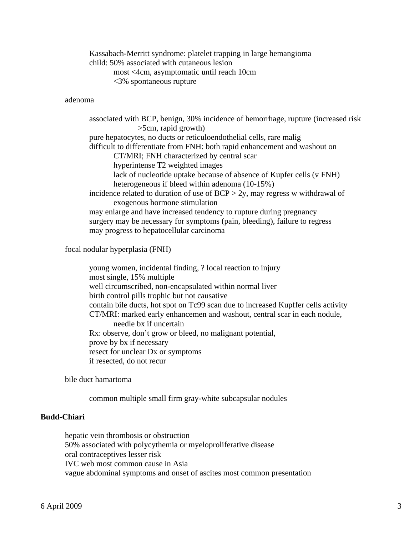Kassabach-Merritt syndrome: platelet trapping in large hemangioma child: 50% associated with cutaneous lesion most <4cm, asymptomatic until reach 10cm <3% spontaneous rupture

## adenoma

 associated with BCP, benign, 30% incidence of hemorrhage, rupture (increased risk >5cm, rapid growth) pure hepatocytes, no ducts or reticuloendothelial cells, rare malig difficult to differentiate from FNH: both rapid enhancement and washout on CT/MRI; FNH characterized by central scar hyperintense T2 weighted images lack of nucleotide uptake because of absence of Kupfer cells (v FNH) heterogeneous if bleed within adenoma (10-15%) incidence related to duration of use of  $BCP > 2y$ , may regress w withdrawal of exogenous hormone stimulation may enlarge and have increased tendency to rupture during pregnancy surgery may be necessary for symptoms (pain, bleeding), failure to regress may progress to hepatocellular carcinoma

focal nodular hyperplasia (FNH)

 young women, incidental finding, ? local reaction to injury most single, 15% multiple well circumscribed, non-encapsulated within normal liver birth control pills trophic but not causative contain bile ducts, hot spot on Tc99 scan due to increased Kupffer cells activity CT/MRI: marked early enhancemen and washout, central scar in each nodule, needle bx if uncertain Rx: observe, don't grow or bleed, no malignant potential, prove by bx if necessary resect for unclear Dx or symptoms if resected, do not recur

bile duct hamartoma

common multiple small firm gray-white subcapsular nodules

## **Budd-Chiari**

 hepatic vein thrombosis or obstruction 50% associated with polycythemia or myeloproliferative disease oral contraceptives lesser risk IVC web most common cause in Asia vague abdominal symptoms and onset of ascites most common presentation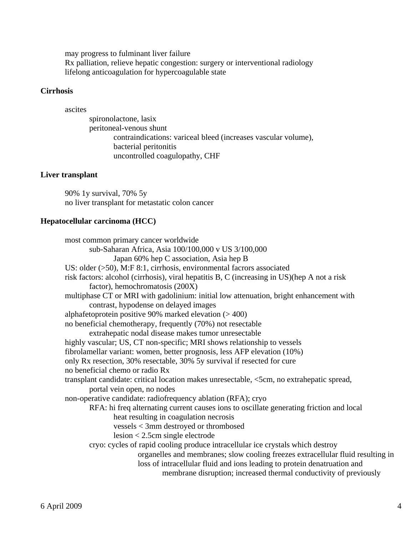may progress to fulminant liver failure Rx palliation, relieve hepatic congestion: surgery or interventional radiology lifelong anticoagulation for hypercoagulable state

## **Cirrhosis**

ascites

 spironolactone, lasix peritoneal-venous shunt contraindications: variceal bleed (increases vascular volume), bacterial peritonitis uncontrolled coagulopathy, CHF

## **Liver transplant**

 90% 1y survival, 70% 5y no liver transplant for metastatic colon cancer

#### **Hepatocellular carcinoma (HCC)**

 most common primary cancer worldwide sub-Saharan Africa, Asia 100/100,000 v US 3/100,000 Japan 60% hep C association, Asia hep B US: older (>50), M:F 8:1, cirrhosis, environmental facrors associated risk factors: alcohol (cirrhosis), viral hepatitis B, C (increasing in US)(hep A not a risk factor), hemochromatosis (200X) multiphase CT or MRI with gadolinium: initial low attenuation, bright enhancement with contrast, hypodense on delayed images alphafetoprotein positive 90% marked elevation  $(>400)$  no beneficial chemotherapy, frequently (70%) not resectable extrahepatic nodal disease makes tumor unresectable highly vascular; US, CT non-specific; MRI shows relationship to vessels fibrolamellar variant: women, better prognosis, less AFP elevation (10%) only Rx resection, 30% resectable, 30% 5y survival if resected for cure no beneficial chemo or radio Rx transplant candidate: critical location makes unresectable, <5cm, no extrahepatic spread, portal vein open, no nodes non-operative candidate: radiofrequency ablation (RFA); cryo RFA: hi freq alternating current causes ions to oscillate generating friction and local heat resulting in coagulation necrosis vessels < 3mm destroyed or thrombosed lesion < 2.5cm single electrode cryo: cycles of rapid cooling produce intracellular ice crystals which destroy organelles and membranes; slow cooling freezes extracellular fluid resulting in loss of intracellular fluid and ions leading to protein denatruation and membrane disruption; increased thermal conductivity of previously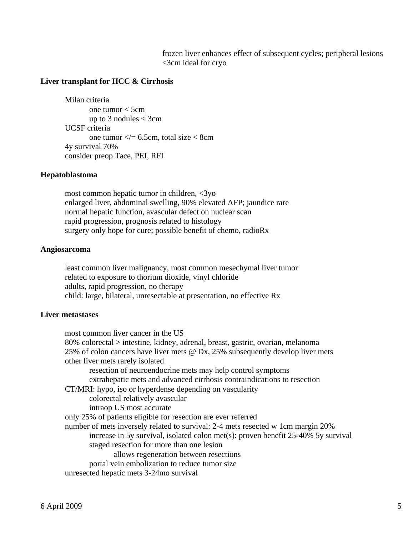frozen liver enhances effect of subsequent cycles; peripheral lesions <3cm ideal for cryo

## **Liver transplant for HCC & Cirrhosis**

 Milan criteria one tumor < 5cm up to 3 nodules  $<$  3cm UCSF criteria one tumor  $\leq$  = 6.5cm, total size  $\leq$  8cm 4y survival 70% consider preop Tace, PEI, RFI

## **Hepatoblastoma**

 most common hepatic tumor in children, <3yo enlarged liver, abdominal swelling, 90% elevated AFP; jaundice rare normal hepatic function, avascular defect on nuclear scan rapid progression, prognosis related to histology surgery only hope for cure; possible benefit of chemo, radioRx

## **Angiosarcoma**

 least common liver malignancy, most common mesechymal liver tumor related to exposure to thorium dioxide, vinyl chloride adults, rapid progression, no therapy child: large, bilateral, unresectable at presentation, no effective Rx

### **Liver metastases**

 most common liver cancer in the US 80% colorectal > intestine, kidney, adrenal, breast, gastric, ovarian, melanoma 25% of colon cancers have liver mets @ Dx, 25% subsequently develop liver mets other liver mets rarely isolated resection of neuroendocrine mets may help control symptoms extrahepatic mets and advanced cirrhosis contraindications to resection CT/MRI: hypo, iso or hyperdense depending on vascularity colorectal relatively avascular intraop US most accurate only 25% of patients eligible for resection are ever referred number of mets inversely related to survival: 2-4 mets resected w 1cm margin 20% increase in 5y survival, isolated colon met(s): proven benefit 25-40% 5y survival staged resection for more than one lesion allows regeneration between resections portal vein embolization to reduce tumor size unresected hepatic mets 3-24mo survival